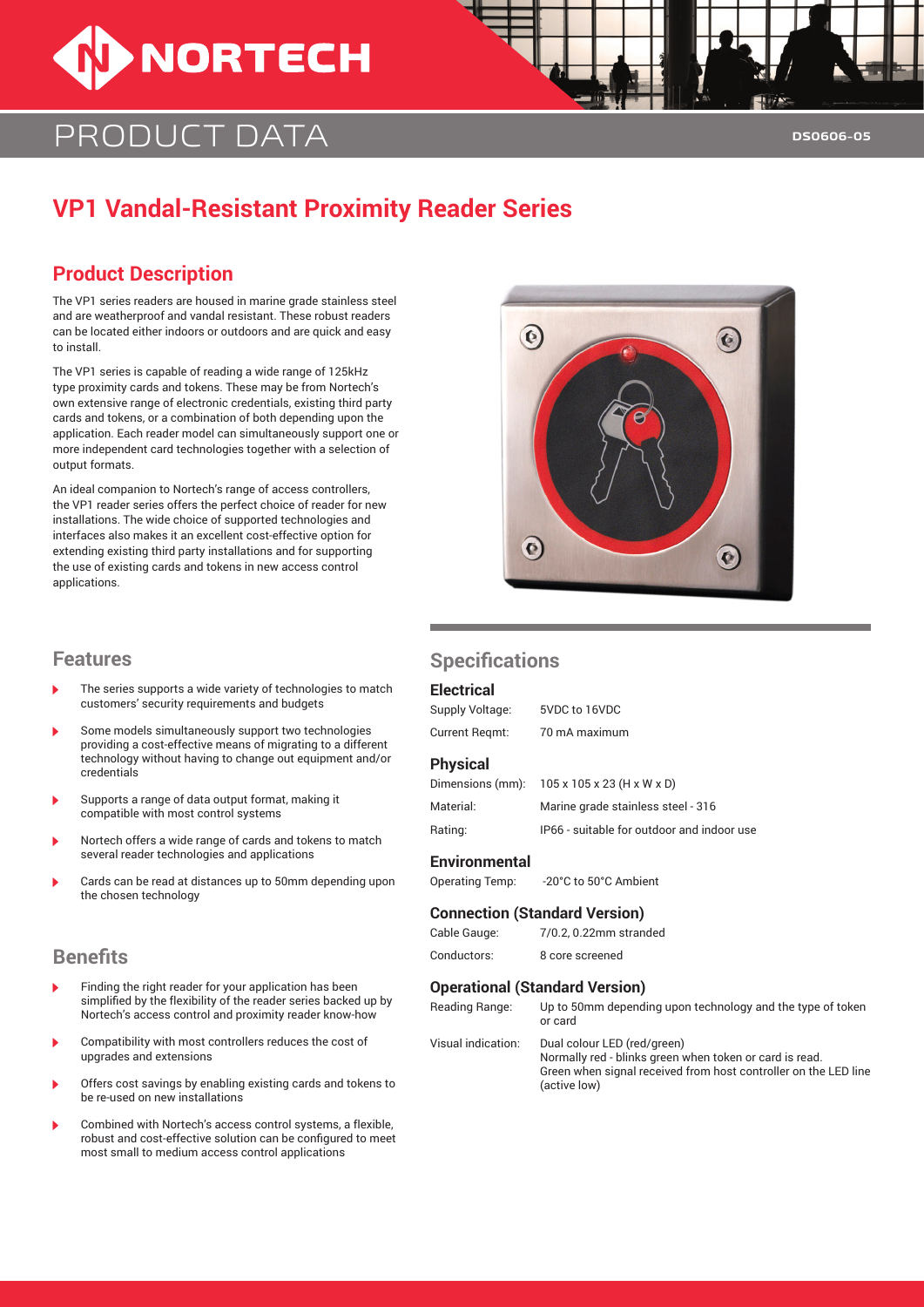

## Product data

## **VP1 Vandal-Resistant Proximity Reader Series**

### **Product Description**

The VP1 series readers are housed in marine grade stainless steel and are weatherproof and vandal resistant. These robust readers can be located either indoors or outdoors and are quick and easy to install.

The VP1 series is capable of reading a wide range of 125kHz type proximity cards and tokens. These may be from Nortech's own extensive range of electronic credentials, existing third party cards and tokens, or a combination of both depending upon the application. Each reader model can simultaneously support one or more independent card technologies together with a selection of output formats.

An ideal companion to Nortech's range of access controllers, the VP1 reader series offers the perfect choice of reader for new installations. The wide choice of supported technologies and interfaces also makes it an excellent cost-effective option for extending existing third party installations and for supporting the use of existing cards and tokens in new access control applications.

# $\odot$  $\bullet$  $\bullet$

- The series supports a wide variety of technologies to match customers' security requirements and budgets
- Some models simultaneously support two technologies providing a cost-effective means of migrating to a different technology without having to change out equipment and/or credentials
- Supports a range of data output format, making it compatible with most control systems
- Nortech offers a wide range of cards and tokens to match several reader technologies and applications
- Cards can be read at distances up to 50mm depending upon the chosen technology

#### **Benefits**

- Finding the right reader for your application has been simplified by the flexibility of the reader series backed up by Nortech's access control and proximity reader know-how
- Compatibility with most controllers reduces the cost of upgrades and extensions
- Offers cost savings by enabling existing cards and tokens to be re-used on new installations
- Combined with Nortech's access control systems, a flexible, robust and cost-effective solution can be configured to meet most small to medium access control applications

#### **Features Specifications**

#### **Electrical**

| Supply Voltage:       | 5VDC to 16VDC                              |
|-----------------------|--------------------------------------------|
| Current Regmt:        | 70 mA maximum                              |
| <b>Physical</b>       |                                            |
| Dimensions (mm):      | $105 \times 105 \times 23$ (H x W x D)     |
| Material <sup>.</sup> | Marine grade stainless steel - 316         |
| Rating:               | IP66 - suitable for outdoor and indoor use |
|                       |                                            |

#### **Environmental**

|  | <b>Operating Temp:</b> |  | -20°C to 50°C Ambient |
|--|------------------------|--|-----------------------|
|--|------------------------|--|-----------------------|

#### **Connection (Standard Version)**

| Cable Gauge: | 7/0.2, 0.22mm stranded |
|--------------|------------------------|
| Conductors:  | 8 core screened        |

#### **Operational (Standard Version)**

| Reading Range:     | Up to 50mm depending upon technology and the type of token<br>or card                                                                                                     |
|--------------------|---------------------------------------------------------------------------------------------------------------------------------------------------------------------------|
| Visual indication: | Dual colour LED (red/green)<br>Normally red - blinks green when token or card is read.<br>Green when signal received from host controller on the LED line<br>(active low) |